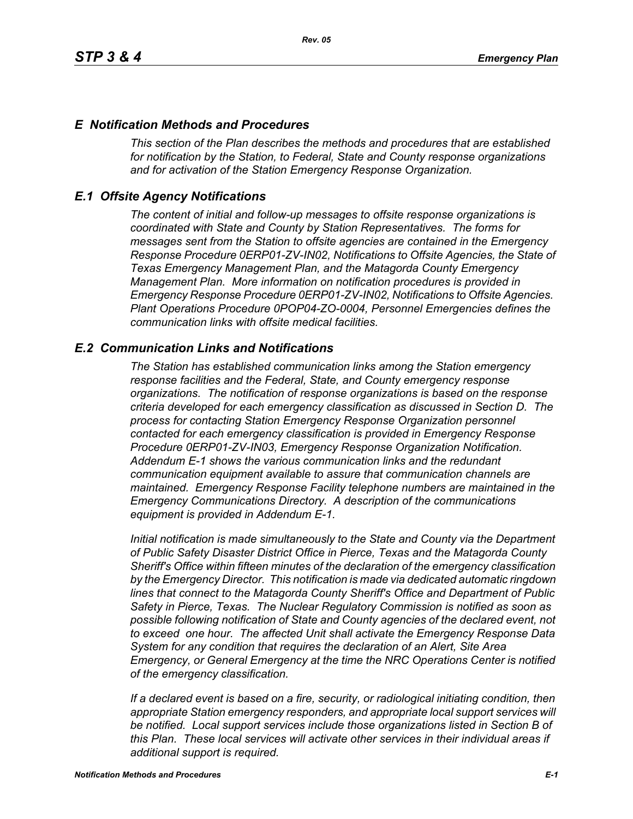### *E Notification Methods and Procedures*

*This section of the Plan describes the methods and procedures that are established for notification by the Station, to Federal, State and County response organizations and for activation of the Station Emergency Response Organization.*

### *E.1 Offsite Agency Notifications*

*The content of initial and follow-up messages to offsite response organizations is coordinated with State and County by Station Representatives. The forms for messages sent from the Station to offsite agencies are contained in the Emergency Response Procedure 0ERP01-ZV-IN02, Notifications to Offsite Agencies, the State of Texas Emergency Management Plan, and the Matagorda County Emergency Management Plan. More information on notification procedures is provided in Emergency Response Procedure 0ERP01-ZV-IN02, Notifications to Offsite Agencies. Plant Operations Procedure 0POP04-ZO-0004, Personnel Emergencies defines the communication links with offsite medical facilities.*

### *E.2 Communication Links and Notifications*

*The Station has established communication links among the Station emergency response facilities and the Federal, State, and County emergency response organizations. The notification of response organizations is based on the response criteria developed for each emergency classification as discussed in Section D. The process for contacting Station Emergency Response Organization personnel contacted for each emergency classification is provided in Emergency Response Procedure 0ERP01-ZV-IN03, Emergency Response Organization Notification. Addendum E-1 shows the various communication links and the redundant communication equipment available to assure that communication channels are maintained. Emergency Response Facility telephone numbers are maintained in the Emergency Communications Directory. A description of the communications equipment is provided in Addendum E-1.*

*Initial notification is made simultaneously to the State and County via the Department of Public Safety Disaster District Office in Pierce, Texas and the Matagorda County Sheriff's Office within fifteen minutes of the declaration of the emergency classification by the Emergency Director. This notification is made via dedicated automatic ringdown lines that connect to the Matagorda County Sheriff's Office and Department of Public Safety in Pierce, Texas. The Nuclear Regulatory Commission is notified as soon as possible following notification of State and County agencies of the declared event, not to exceed one hour. The affected Unit shall activate the Emergency Response Data System for any condition that requires the declaration of an Alert, Site Area Emergency, or General Emergency at the time the NRC Operations Center is notified of the emergency classification.*

*If a declared event is based on a fire, security, or radiological initiating condition, then appropriate Station emergency responders, and appropriate local support services will be notified. Local support services include those organizations listed in Section B of this Plan. These local services will activate other services in their individual areas if additional support is required.*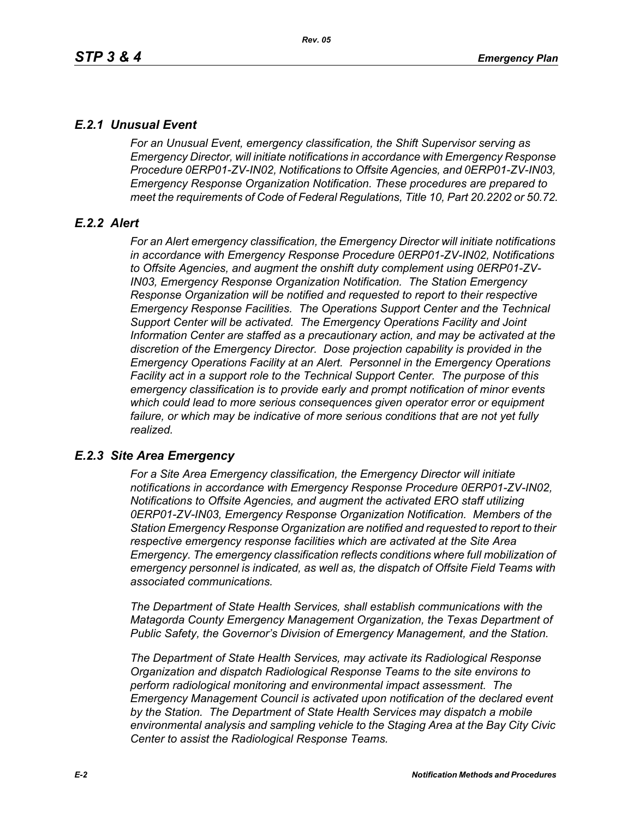# *E.2.1 Unusual Event*

*For an Unusual Event, emergency classification, the Shift Supervisor serving as Emergency Director, will initiate notifications in accordance with Emergency Response Procedure 0ERP01-ZV-IN02, Notifications to Offsite Agencies, and 0ERP01-ZV-IN03, Emergency Response Organization Notification. These procedures are prepared to meet the requirements of Code of Federal Regulations, Title 10, Part 20.2202 or 50.72.*

# *E.2.2 Alert*

*For an Alert emergency classification, the Emergency Director will initiate notifications in accordance with Emergency Response Procedure 0ERP01-ZV-IN02, Notifications to Offsite Agencies, and augment the onshift duty complement using 0ERP01-ZV-IN03, Emergency Response Organization Notification. The Station Emergency Response Organization will be notified and requested to report to their respective Emergency Response Facilities. The Operations Support Center and the Technical Support Center will be activated. The Emergency Operations Facility and Joint Information Center are staffed as a precautionary action, and may be activated at the discretion of the Emergency Director. Dose projection capability is provided in the Emergency Operations Facility at an Alert. Personnel in the Emergency Operations Facility act in a support role to the Technical Support Center. The purpose of this emergency classification is to provide early and prompt notification of minor events which could lead to more serious consequences given operator error or equipment*  failure, or which may be indicative of more serious conditions that are not yet fully *realized.*

# *E.2.3 Site Area Emergency*

*For a Site Area Emergency classification, the Emergency Director will initiate notifications in accordance with Emergency Response Procedure 0ERP01-ZV-IN02, Notifications to Offsite Agencies, and augment the activated ERO staff utilizing 0ERP01-ZV-IN03, Emergency Response Organization Notification. Members of the Station Emergency Response Organization are notified and requested to report to their respective emergency response facilities which are activated at the Site Area Emergency. The emergency classification reflects conditions where full mobilization of emergency personnel is indicated, as well as, the dispatch of Offsite Field Teams with associated communications.*

*The Department of State Health Services, shall establish communications with the Matagorda County Emergency Management Organization, the Texas Department of Public Safety, the Governor's Division of Emergency Management, and the Station.* 

*The Department of State Health Services, may activate its Radiological Response Organization and dispatch Radiological Response Teams to the site environs to perform radiological monitoring and environmental impact assessment. The Emergency Management Council is activated upon notification of the declared event by the Station. The Department of State Health Services may dispatch a mobile environmental analysis and sampling vehicle to the Staging Area at the Bay City Civic Center to assist the Radiological Response Teams.*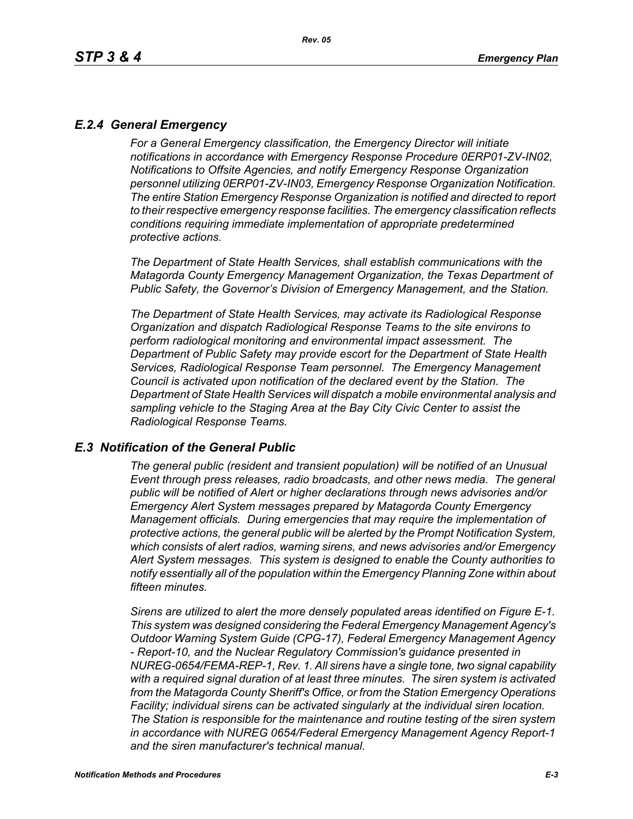# *E.2.4 General Emergency*

*For a General Emergency classification, the Emergency Director will initiate notifications in accordance with Emergency Response Procedure 0ERP01-ZV-IN02, Notifications to Offsite Agencies, and notify Emergency Response Organization personnel utilizing 0ERP01-ZV-IN03, Emergency Response Organization Notification. The entire Station Emergency Response Organization is notified and directed to report to their respective emergency response facilities. The emergency classification reflects conditions requiring immediate implementation of appropriate predetermined protective actions.*

*The Department of State Health Services, shall establish communications with the Matagorda County Emergency Management Organization, the Texas Department of Public Safety, the Governor's Division of Emergency Management, and the Station.*

*The Department of State Health Services, may activate its Radiological Response Organization and dispatch Radiological Response Teams to the site environs to perform radiological monitoring and environmental impact assessment. The Department of Public Safety may provide escort for the Department of State Health Services, Radiological Response Team personnel. The Emergency Management Council is activated upon notification of the declared event by the Station. The Department of State Health Services will dispatch a mobile environmental analysis and sampling vehicle to the Staging Area at the Bay City Civic Center to assist the Radiological Response Teams.*

#### *E.3 Notification of the General Public*

*The general public (resident and transient population) will be notified of an Unusual Event through press releases, radio broadcasts, and other news media. The general public will be notified of Alert or higher declarations through news advisories and/or Emergency Alert System messages prepared by Matagorda County Emergency Management officials. During emergencies that may require the implementation of protective actions, the general public will be alerted by the Prompt Notification System, which consists of alert radios, warning sirens, and news advisories and/or Emergency Alert System messages. This system is designed to enable the County authorities to notify essentially all of the population within the Emergency Planning Zone within about fifteen minutes.* 

*Sirens are utilized to alert the more densely populated areas identified on Figure E-1. This system was designed considering the Federal Emergency Management Agency's Outdoor Warning System Guide (CPG-17), Federal Emergency Management Agency - Report-10, and the Nuclear Regulatory Commission's guidance presented in NUREG-0654/FEMA-REP-1, Rev. 1. All sirens have a single tone, two signal capability with a required signal duration of at least three minutes. The siren system is activated from the Matagorda County Sheriff's Office, or from the Station Emergency Operations Facility; individual sirens can be activated singularly at the individual siren location. The Station is responsible for the maintenance and routine testing of the siren system in accordance with NUREG 0654/Federal Emergency Management Agency Report-1 and the siren manufacturer's technical manual.*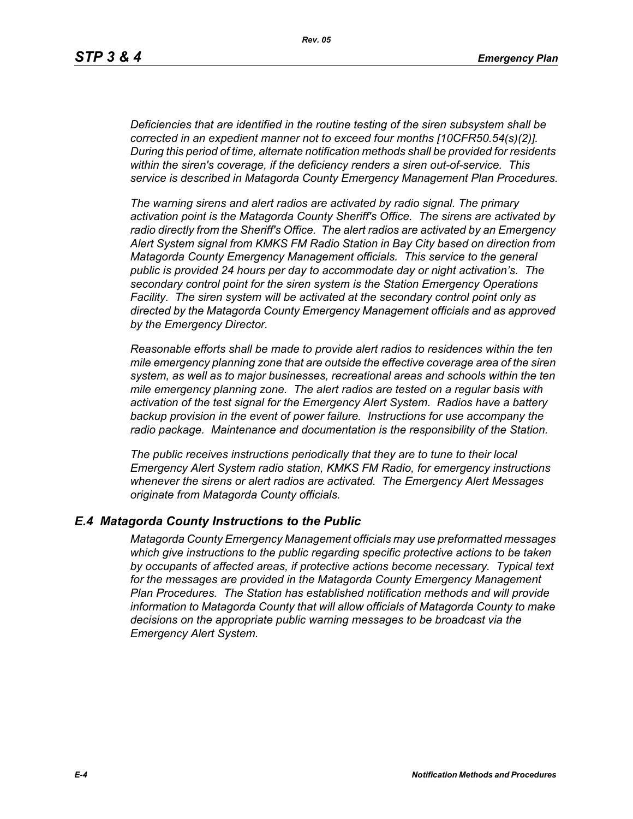*Deficiencies that are identified in the routine testing of the siren subsystem shall be corrected in an expedient manner not to exceed four months [10CFR50.54(s)(2)]. During this period of time, alternate notification methods shall be provided for residents within the siren's coverage, if the deficiency renders a siren out-of-service. This service is described in Matagorda County Emergency Management Plan Procedures.*

*The warning sirens and alert radios are activated by radio signal. The primary activation point is the Matagorda County Sheriff's Office. The sirens are activated by radio directly from the Sheriff's Office. The alert radios are activated by an Emergency Alert System signal from KMKS FM Radio Station in Bay City based on direction from Matagorda County Emergency Management officials. This service to the general public is provided 24 hours per day to accommodate day or night activation's. The secondary control point for the siren system is the Station Emergency Operations Facility. The siren system will be activated at the secondary control point only as directed by the Matagorda County Emergency Management officials and as approved by the Emergency Director.* 

*Reasonable efforts shall be made to provide alert radios to residences within the ten mile emergency planning zone that are outside the effective coverage area of the siren system, as well as to major businesses, recreational areas and schools within the ten mile emergency planning zone. The alert radios are tested on a regular basis with activation of the test signal for the Emergency Alert System. Radios have a battery backup provision in the event of power failure. Instructions for use accompany the radio package. Maintenance and documentation is the responsibility of the Station.* 

*The public receives instructions periodically that they are to tune to their local Emergency Alert System radio station, KMKS FM Radio, for emergency instructions whenever the sirens or alert radios are activated. The Emergency Alert Messages originate from Matagorda County officials.* 

#### *E.4 Matagorda County Instructions to the Public*

*Matagorda County Emergency Management officials may use preformatted messages which give instructions to the public regarding specific protective actions to be taken by occupants of affected areas, if protective actions become necessary. Typical text for the messages are provided in the Matagorda County Emergency Management Plan Procedures. The Station has established notification methods and will provide information to Matagorda County that will allow officials of Matagorda County to make decisions on the appropriate public warning messages to be broadcast via the Emergency Alert System.*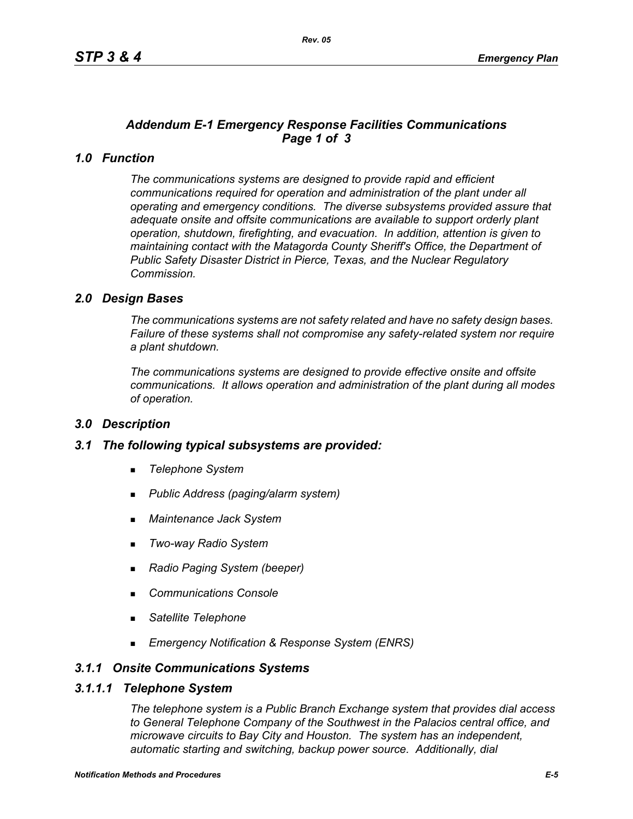# *Addendum E-1 Emergency Response Facilities Communications Page 1 of 3*

# *1.0 Function*

*The communications systems are designed to provide rapid and efficient communications required for operation and administration of the plant under all operating and emergency conditions. The diverse subsystems provided assure that adequate onsite and offsite communications are available to support orderly plant operation, shutdown, firefighting, and evacuation. In addition, attention is given to maintaining contact with the Matagorda County Sheriff's Office, the Department of Public Safety Disaster District in Pierce, Texas, and the Nuclear Regulatory Commission.*

### *2.0 Design Bases*

*The communications systems are not safety related and have no safety design bases. Failure of these systems shall not compromise any safety-related system nor require a plant shutdown.*

*The communications systems are designed to provide effective onsite and offsite communications. It allows operation and administration of the plant during all modes of operation.*

#### *3.0 Description*

#### *3.1 The following typical subsystems are provided:*

- *Telephone System*
- *Public Address (paging/alarm system)*
- *Maintenance Jack System*
- *Two-way Radio System*
- *Radio Paging System (beeper)*
- *Communications Console*
- *Satellite Telephone*
- *Emergency Notification & Response System (ENRS)*

### *3.1.1 Onsite Communications Systems*

#### *3.1.1.1 Telephone System*

*The telephone system is a Public Branch Exchange system that provides dial access to General Telephone Company of the Southwest in the Palacios central office, and microwave circuits to Bay City and Houston. The system has an independent, automatic starting and switching, backup power source. Additionally, dial*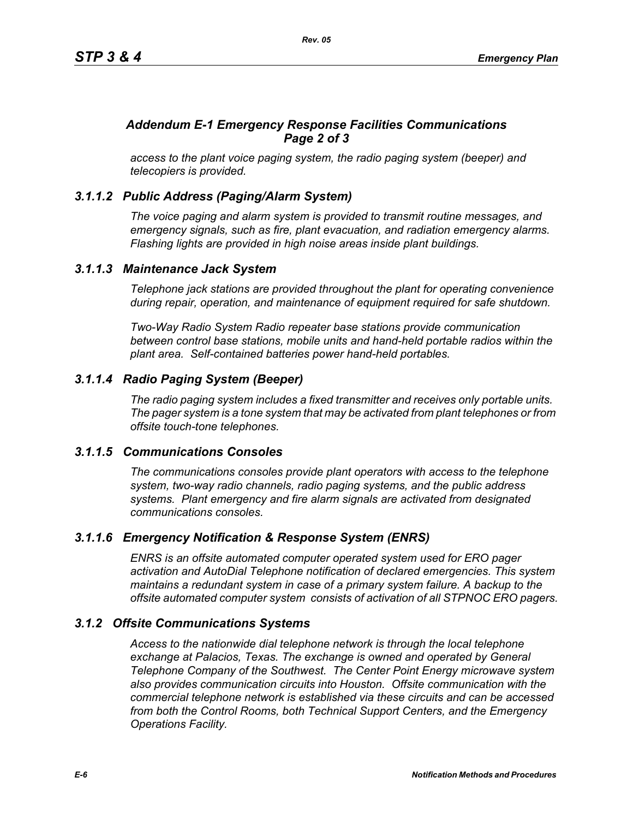# *Addendum E-1 Emergency Response Facilities Communications Page 2 of 3*

*access to the plant voice paging system, the radio paging system (beeper) and telecopiers is provided.*

# *3.1.1.2 Public Address (Paging/Alarm System)*

*The voice paging and alarm system is provided to transmit routine messages, and emergency signals, such as fire, plant evacuation, and radiation emergency alarms. Flashing lights are provided in high noise areas inside plant buildings.*

### *3.1.1.3 Maintenance Jack System*

*Telephone jack stations are provided throughout the plant for operating convenience during repair, operation, and maintenance of equipment required for safe shutdown.* 

*Two-Way Radio System Radio repeater base stations provide communication between control base stations, mobile units and hand-held portable radios within the plant area. Self-contained batteries power hand-held portables.* 

# *3.1.1.4 Radio Paging System (Beeper)*

*The radio paging system includes a fixed transmitter and receives only portable units. The pager system is a tone system that may be activated from plant telephones or from offsite touch-tone telephones.* 

# *3.1.1.5 Communications Consoles*

*The communications consoles provide plant operators with access to the telephone system, two-way radio channels, radio paging systems, and the public address systems. Plant emergency and fire alarm signals are activated from designated communications consoles.*

# *3.1.1.6 Emergency Notification & Response System (ENRS)*

*ENRS is an offsite automated computer operated system used for ERO pager activation and AutoDial Telephone notification of declared emergencies. This system maintains a redundant system in case of a primary system failure. A backup to the offsite automated computer system consists of activation of all STPNOC ERO pagers.*

# *3.1.2 Offsite Communications Systems*

*Access to the nationwide dial telephone network is through the local telephone exchange at Palacios, Texas. The exchange is owned and operated by General Telephone Company of the Southwest. The Center Point Energy microwave system also provides communication circuits into Houston. Offsite communication with the commercial telephone network is established via these circuits and can be accessed from both the Control Rooms, both Technical Support Centers, and the Emergency Operations Facility.*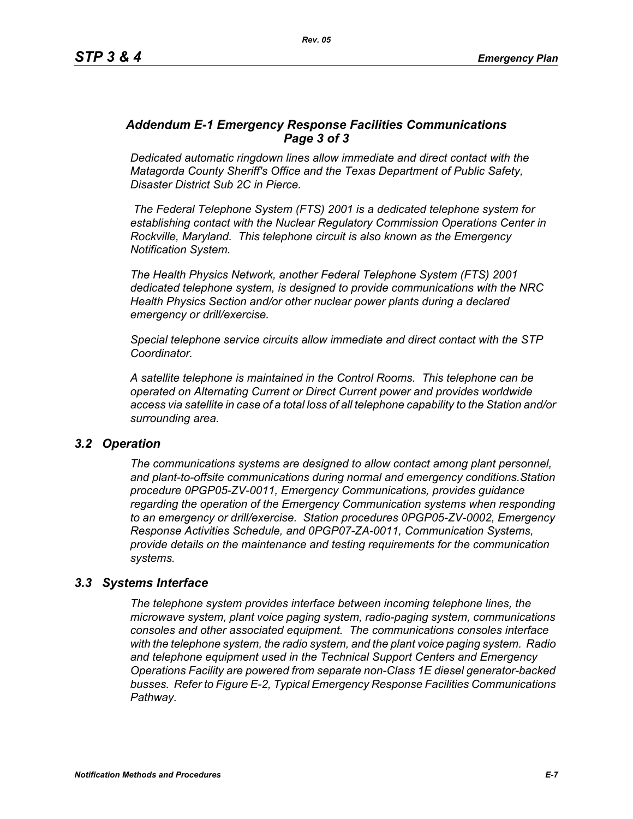### *Addendum E-1 Emergency Response Facilities Communications Page 3 of 3*

*Dedicated automatic ringdown lines allow immediate and direct contact with the Matagorda County Sheriff's Office and the Texas Department of Public Safety, Disaster District Sub 2C in Pierce.*

 *The Federal Telephone System (FTS) 2001 is a dedicated telephone system for establishing contact with the Nuclear Regulatory Commission Operations Center in Rockville, Maryland. This telephone circuit is also known as the Emergency Notification System.*

*The Health Physics Network, another Federal Telephone System (FTS) 2001 dedicated telephone system, is designed to provide communications with the NRC Health Physics Section and/or other nuclear power plants during a declared emergency or drill/exercise.*

*Special telephone service circuits allow immediate and direct contact with the STP Coordinator.*

*A satellite telephone is maintained in the Control Rooms. This telephone can be operated on Alternating Current or Direct Current power and provides worldwide access via satellite in case of a total loss of all telephone capability to the Station and/or surrounding area.*

#### *3.2 Operation*

*The communications systems are designed to allow contact among plant personnel, and plant-to-offsite communications during normal and emergency conditions.Station procedure 0PGP05-ZV-0011, Emergency Communications, provides guidance regarding the operation of the Emergency Communication systems when responding to an emergency or drill/exercise. Station procedures 0PGP05-ZV-0002, Emergency Response Activities Schedule, and 0PGP07-ZA-0011, Communication Systems, provide details on the maintenance and testing requirements for the communication systems.*

# *3.3 Systems Interface*

*The telephone system provides interface between incoming telephone lines, the microwave system, plant voice paging system, radio-paging system, communications consoles and other associated equipment. The communications consoles interface with the telephone system, the radio system, and the plant voice paging system. Radio and telephone equipment used in the Technical Support Centers and Emergency Operations Facility are powered from separate non-Class 1E diesel generator-backed busses. Refer to Figure E-2, Typical Emergency Response Facilities Communications Pathway.*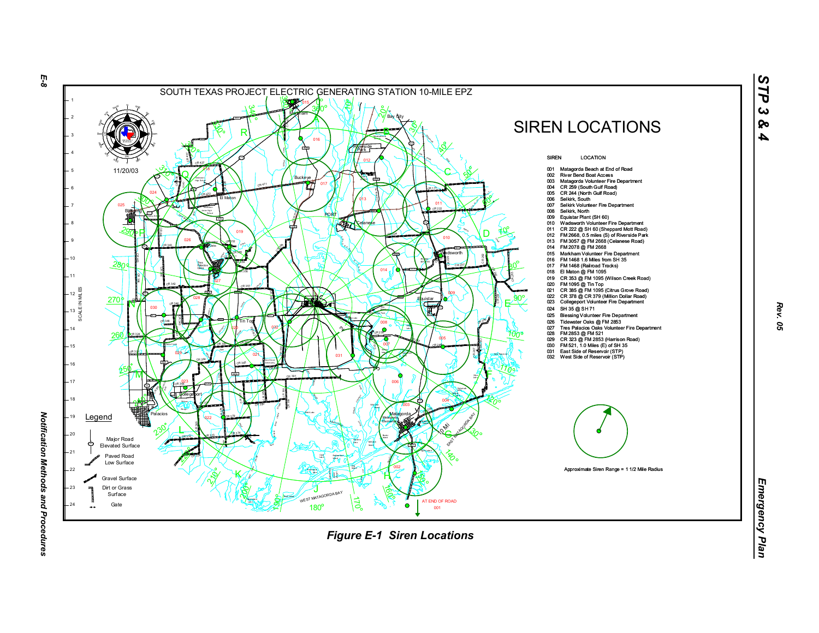

*Rev. 05*

*STP 3 & 4*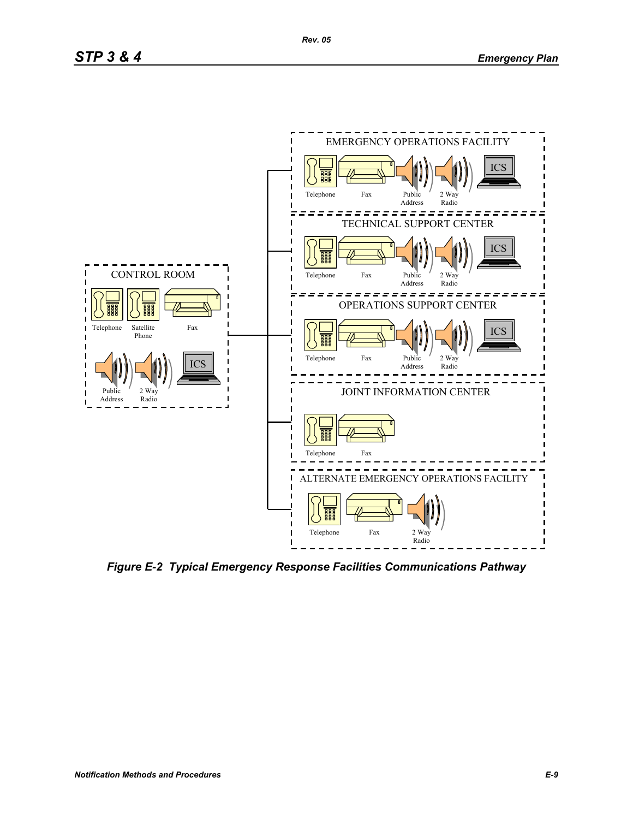

*Figure E-2 Typical Emergency Response Facilities Communications Pathway*